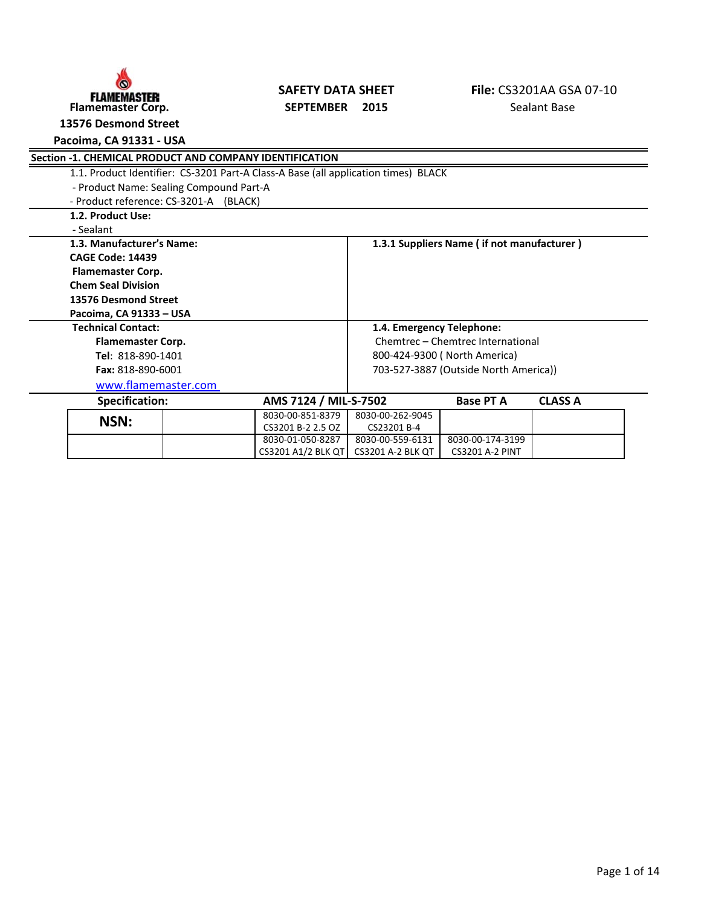

# **FLAMEMASTER SAFETY DATA SHEET FIRE FIRE CS3201AA GSAPETY DATA SHEET** FIRE CS3201AA GSAPETEMBER 2015

**13576 Desmond Street**

**Pacoima, CA 91331 - USA**

|                           | Section -1. CHEMICAL PRODUCT AND COMPANY IDENTIFICATION                            |  |                           |                              |                                            |                |  |  |
|---------------------------|------------------------------------------------------------------------------------|--|---------------------------|------------------------------|--------------------------------------------|----------------|--|--|
|                           | 1.1. Product Identifier: CS-3201 Part-A Class-A Base (all application times) BLACK |  |                           |                              |                                            |                |  |  |
|                           | - Product Name: Sealing Compound Part-A                                            |  |                           |                              |                                            |                |  |  |
|                           | - Product reference: CS-3201-A (BLACK)                                             |  |                           |                              |                                            |                |  |  |
|                           | 1.2. Product Use:                                                                  |  |                           |                              |                                            |                |  |  |
|                           | - Sealant                                                                          |  |                           |                              |                                            |                |  |  |
|                           | 1.3. Manufacturer's Name:                                                          |  |                           |                              | 1.3.1 Suppliers Name (if not manufacturer) |                |  |  |
|                           | <b>CAGE Code: 14439</b>                                                            |  |                           |                              |                                            |                |  |  |
|                           | Flamemaster Corp.                                                                  |  |                           |                              |                                            |                |  |  |
|                           | <b>Chem Seal Division</b>                                                          |  |                           |                              |                                            |                |  |  |
|                           | 13576 Desmond Street                                                               |  |                           |                              |                                            |                |  |  |
|                           | Pacoima, CA 91333 - USA                                                            |  |                           |                              |                                            |                |  |  |
| <b>Technical Contact:</b> |                                                                                    |  | 1.4. Emergency Telephone: |                              |                                            |                |  |  |
|                           | <b>Flamemaster Corp.</b>                                                           |  |                           |                              | Chemtrec - Chemtrec International          |                |  |  |
|                           | Tel: 818-890-1401                                                                  |  |                           | 800-424-9300 (North America) |                                            |                |  |  |
|                           | Fax: 818-890-6001                                                                  |  |                           |                              | 703-527-3887 (Outside North America))      |                |  |  |
|                           | www.flamemaster.com                                                                |  |                           |                              |                                            |                |  |  |
|                           | <b>Specification:</b>                                                              |  | AMS 7124 / MIL-S-7502     |                              | <b>Base PT A</b>                           | <b>CLASS A</b> |  |  |
|                           | NSN:                                                                               |  | 8030-00-851-8379          | 8030-00-262-9045             |                                            |                |  |  |
|                           |                                                                                    |  | CS3201 B-2 2.5 OZ         | CS23201 B-4                  |                                            |                |  |  |
|                           |                                                                                    |  | 8030-01-050-8287          | 8030-00-559-6131             | 8030-00-174-3199                           |                |  |  |
|                           |                                                                                    |  | CS3201 A1/2 BLK QT        | <b>CS3201 A-2 BLK QT</b>     | <b>CS3201 A-2 PINT</b>                     |                |  |  |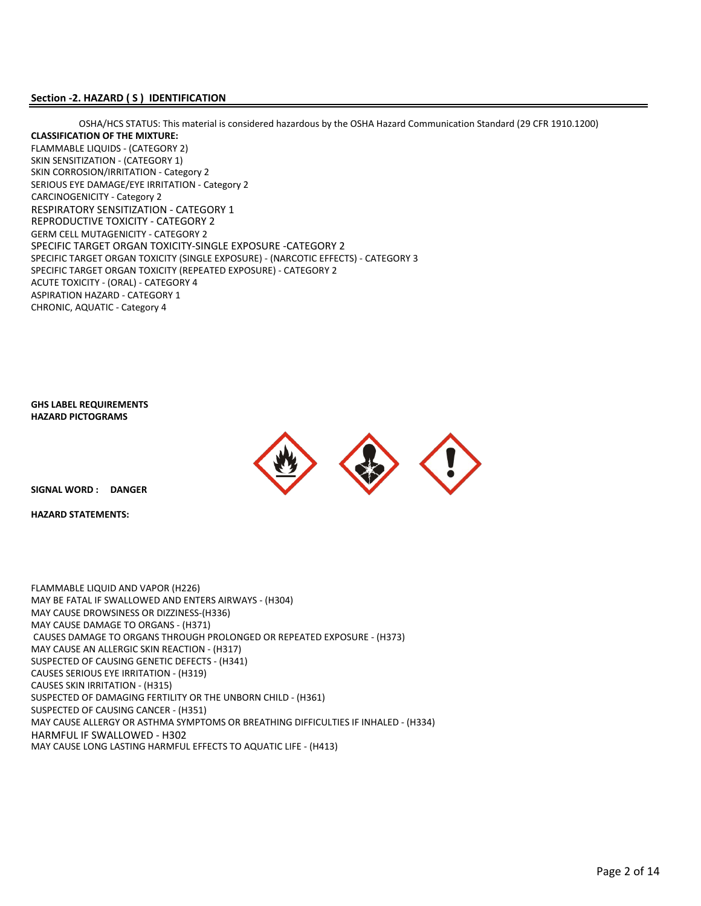#### **Section -2. HAZARD ( S ) IDENTIFICATION**

FLAMMABLE LIQUIDS - (CATEGORY 2) SKIN SENSITIZATION - (CATEGORY 1) RESPIRATORY SENSITIZATION - CATEGORY 1 GERM CELL MUTAGENICITY - CATEGORY 2 SPECIFIC TARGET ORGAN TOXICITY-SINGLE EXPOSURE -CATEGORY 2 SPECIFIC TARGET ORGAN TOXICITY (SINGLE EXPOSURE) - (NARCOTIC EFFECTS) - CATEGORY 3 SPECIFIC TARGET ORGAN TOXICITY (REPEATED EXPOSURE) - CATEGORY 2 ACUTE TOXICITY - (ORAL) - CATEGORY 4 ASPIRATION HAZARD - CATEGORY 1 CHRONIC, AQUATIC - Category 4 **CLASSIFICATION OF THE MIXTURE:** SKIN CORROSION/IRRITATION - Category 2 SERIOUS EYE DAMAGE/EYE IRRITATION - Category 2 OSHA/HCS STATUS: This material is considered hazardous by the OSHA Hazard Communication Standard (29 CFR 1910.1200) CARCINOGENICITY - Category 2 REPRODUCTIVE TOXICITY - CATEGORY 2

**GHS LABEL REQUIREMENTS HAZARD PICTOGRAMS**



**SIGNAL WORD : DANGER**

**HAZARD STATEMENTS:**

FLAMMABLE LIQUID AND VAPOR (H226) MAY BE FATAL IF SWALLOWED AND ENTERS AIRWAYS - (H304) MAY CAUSE DROWSINESS OR DIZZINESS-(H336) MAY CAUSE DAMAGE TO ORGANS - (H371) CAUSES DAMAGE TO ORGANS THROUGH PROLONGED OR REPEATED EXPOSURE - (H373) MAY CAUSE AN ALLERGIC SKIN REACTION - (H317) SUSPECTED OF CAUSING GENETIC DEFECTS - (H341) SUSPECTED OF CAUSING CANCER - (H351) HARMFUL IF SWALLOWED - H302 MAY CAUSE ALLERGY OR ASTHMA SYMPTOMS OR BREATHING DIFFICULTIES IF INHALED - (H334) SUSPECTED OF DAMAGING FERTILITY OR THE UNBORN CHILD - (H361) MAY CAUSE LONG LASTING HARMFUL EFFECTS TO AQUATIC LIFE - (H413) CAUSES SERIOUS EYE IRRITATION - (H319) CAUSES SKIN IRRITATION - (H315)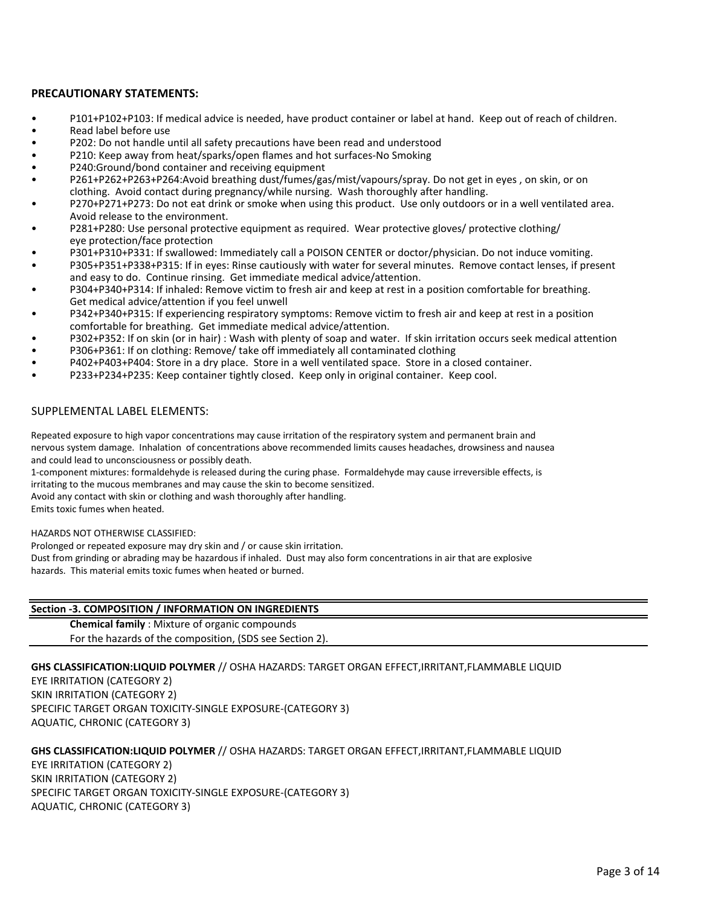#### **PRECAUTIONARY STATEMENTS:**

- P101+P102+P103: If medical advice is needed, have product container or label at hand. Keep out of reach of children.
- Read label before use<br>• P202: Do not bandle u
- P202: Do not handle until all safety precautions have been read and understood
- P210: Keep away from heat/sparks/open flames and hot surfaces-No Smoking
- P240:Ground/bond container and receiving equipment
- P261+P262+P263+P264:Avoid breathing dust/fumes/gas/mist/vapours/spray. Do not get in eyes , on skin, or on clothing. Avoid contact during pregnancy/while nursing. Wash thoroughly after handling.
- P270+P271+P273: Do not eat drink or smoke when using this product. Use only outdoors or in a well ventilated area. Avoid release to the environment.
- P281+P280: Use personal protective equipment as required. Wear protective gloves/ protective clothing/ eye protection/face protection
- P301+P310+P331: If swallowed: Immediately call a POISON CENTER or doctor/physician. Do not induce vomiting.
- P305+P351+P338+P315: If in eyes: Rinse cautiously with water for several minutes. Remove contact lenses, if present and easy to do. Continue rinsing. Get immediate medical advice/attention.
- P304+P340+P314: If inhaled: Remove victim to fresh air and keep at rest in a position comfortable for breathing. Get medical advice/attention if you feel unwell
- P342+P340+P315: If experiencing respiratory symptoms: Remove victim to fresh air and keep at rest in a position comfortable for breathing. Get immediate medical advice/attention.
- P302+P352: If on skin (or in hair) : Wash with plenty of soap and water. If skin irritation occurs seek medical attention
- P306+P361: If on clothing: Remove/ take off immediately all contaminated clothing
- P402+P403+P404: Store in a dry place. Store in a well ventilated space. Store in a closed container.
- P233+P234+P235: Keep container tightly closed. Keep only in original container. Keep cool.

#### SUPPLEMENTAL LABEL ELEMENTS:

nervous system damage. Inhalation of concentrations above recommended limits causes headaches, drowsiness and nausea and could lead to unconsciousness or possibly death. Repeated exposure to high vapor concentrations may cause irritation of the respiratory system and permanent brain and

irritating to the mucous membranes and may cause the skin to become sensitized. 1-component mixtures: formaldehyde is released during the curing phase. Formaldehyde may cause irreversible effects, is

Avoid any contact with skin or clothing and wash thoroughly after handling.

Emits toxic fumes when heated.

HAZARDS NOT OTHERWISE CLASSIFIED:

Prolonged or repeated exposure may dry skin and / or cause skin irritation. Dust from grinding or abrading may be hazardous if inhaled. Dust may also form concentrations in air that are explosive hazards. This material emits toxic fumes when heated or burned.

## **Section -3. COMPOSITION / INFORMATION ON INGREDIENTS**

**Chemical family** : Mixture of organic compounds For the hazards of the composition, (SDS see Section 2).

#### **GHS CLASSIFICATION:LIQUID POLYMER** // OSHA HAZARDS: TARGET ORGAN EFFECT,IRRITANT,FLAMMABLE LIQUID

EYE IRRITATION (CATEGORY 2) SKIN IRRITATION (CATEGORY 2) SPECIFIC TARGET ORGAN TOXICITY-SINGLE EXPOSURE-(CATEGORY 3) AQUATIC, CHRONIC (CATEGORY 3)

#### **GHS CLASSIFICATION:LIQUID POLYMER** // OSHA HAZARDS: TARGET ORGAN EFFECT,IRRITANT,FLAMMABLE LIQUID

EYE IRRITATION (CATEGORY 2) SKIN IRRITATION (CATEGORY 2) SPECIFIC TARGET ORGAN TOXICITY-SINGLE EXPOSURE-(CATEGORY 3) AQUATIC, CHRONIC (CATEGORY 3)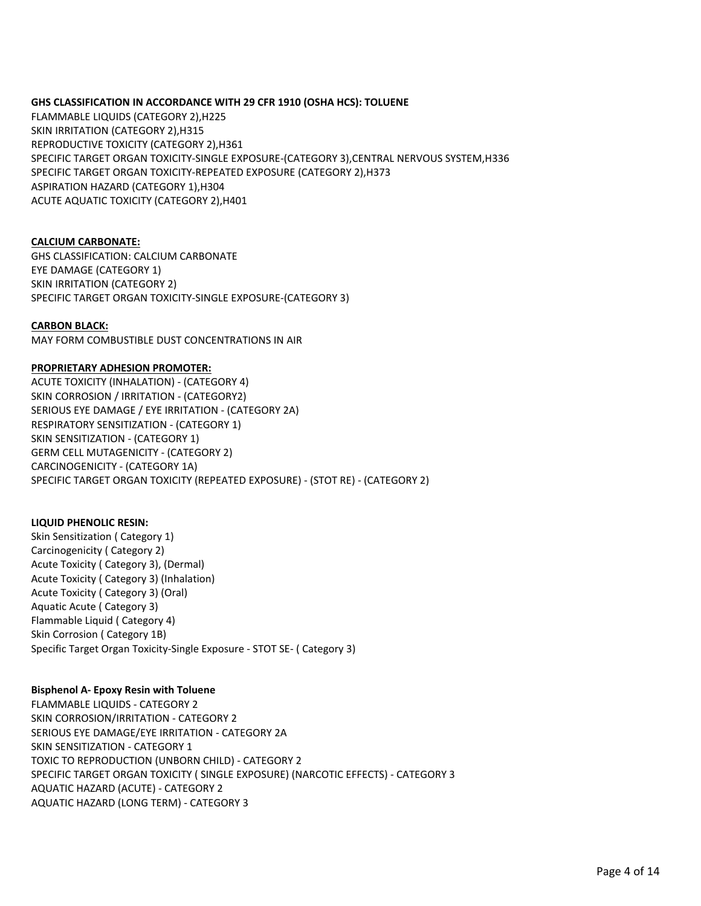#### **GHS CLASSIFICATION IN ACCORDANCE WITH 29 CFR 1910 (OSHA HCS): TOLUENE**

FLAMMABLE LIQUIDS (CATEGORY 2),H225 SKIN IRRITATION (CATEGORY 2),H315 REPRODUCTIVE TOXICITY (CATEGORY 2),H361 SPECIFIC TARGET ORGAN TOXICITY-SINGLE EXPOSURE-(CATEGORY 3),CENTRAL NERVOUS SYSTEM,H336 SPECIFIC TARGET ORGAN TOXICITY-REPEATED EXPOSURE (CATEGORY 2),H373 ASPIRATION HAZARD (CATEGORY 1),H304 ACUTE AQUATIC TOXICITY (CATEGORY 2),H401

#### **CALCIUM CARBONATE:**

GHS CLASSIFICATION: CALCIUM CARBONATE EYE DAMAGE (CATEGORY 1) SKIN IRRITATION (CATEGORY 2) SPECIFIC TARGET ORGAN TOXICITY-SINGLE EXPOSURE-(CATEGORY 3)

#### **CARBON BLACK:**

MAY FORM COMBUSTIBLE DUST CONCENTRATIONS IN AIR

#### **PROPRIETARY ADHESION PROMOTER:**

SKIN CORROSION / IRRITATION - (CATEGORY2) SERIOUS EYE DAMAGE / EYE IRRITATION - (CATEGORY 2A) RESPIRATORY SENSITIZATION - (CATEGORY 1) SKIN SENSITIZATION - (CATEGORY 1) GERM CELL MUTAGENICITY - (CATEGORY 2) CARCINOGENICITY - (CATEGORY 1A) SPECIFIC TARGET ORGAN TOXICITY (REPEATED EXPOSURE) - (STOT RE) - (CATEGORY 2) ACUTE TOXICITY (INHALATION) - (CATEGORY 4)

#### **LIQUID PHENOLIC RESIN:**

Skin Sensitization ( Category 1) Carcinogenicity ( Category 2) Acute Toxicity ( Category 3), (Dermal) Acute Toxicity ( Category 3) (Inhalation) Acute Toxicity ( Category 3) (Oral) Aquatic Acute ( Category 3) Flammable Liquid ( Category 4) Skin Corrosion ( Category 1B) Specific Target Organ Toxicity-Single Exposure - STOT SE- ( Category 3)

#### **Bisphenol A- Epoxy Resin with Toluene**

FLAMMABLE LIQUIDS - CATEGORY 2 SKIN CORROSION/IRRITATION - CATEGORY 2 SERIOUS EYE DAMAGE/EYE IRRITATION - CATEGORY 2A SKIN SENSITIZATION - CATEGORY 1 TOXIC TO REPRODUCTION (UNBORN CHILD) - CATEGORY 2 SPECIFIC TARGET ORGAN TOXICITY ( SINGLE EXPOSURE) (NARCOTIC EFFECTS) - CATEGORY 3 AQUATIC HAZARD (ACUTE) - CATEGORY 2 AQUATIC HAZARD (LONG TERM) - CATEGORY 3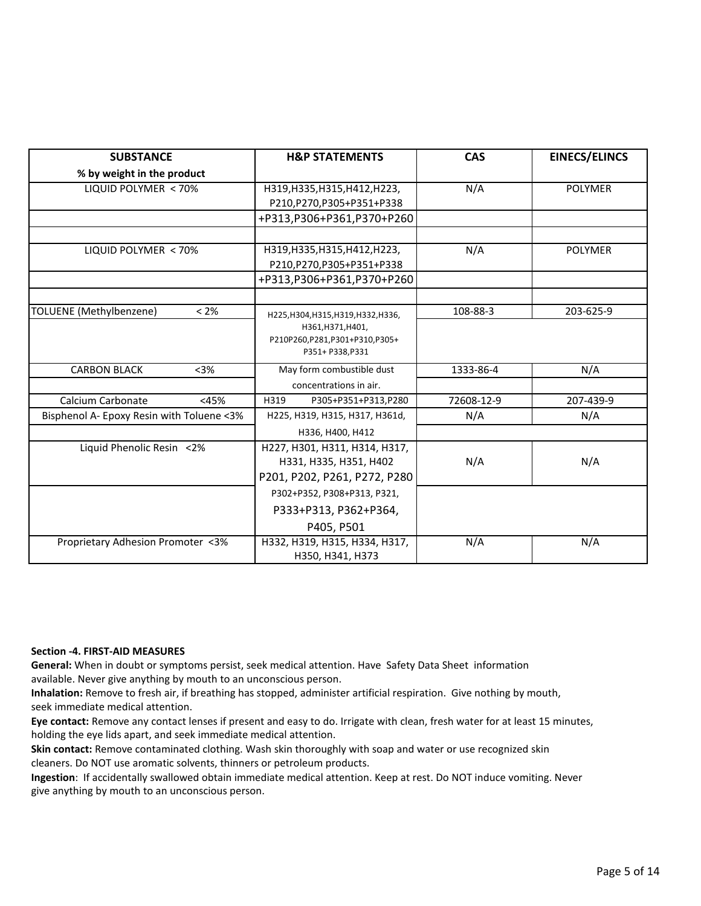| <b>SUBSTANCE</b>                          | <b>H&amp;P STATEMENTS</b>                         | <b>CAS</b> | <b>EINECS/ELINCS</b> |
|-------------------------------------------|---------------------------------------------------|------------|----------------------|
| % by weight in the product                |                                                   |            |                      |
| LIQUID POLYMER < 70%                      | H319, H335, H315, H412, H223,                     | N/A        | <b>POLYMER</b>       |
|                                           | P210,P270,P305+P351+P338                          |            |                      |
|                                           | +P313,P306+P361,P370+P260                         |            |                      |
|                                           | H319, H335, H315, H412, H223,                     |            | <b>POLYMER</b>       |
| LIQUID POLYMER < 70%                      | P210, P270, P305+P351+P338                        | N/A        |                      |
|                                           | +P313,P306+P361,P370+P260                         |            |                      |
|                                           |                                                   |            |                      |
| TOLUENE (Methylbenzene)<br>$< 2\%$        | H225, H304, H315, H319, H332, H336,               | 108-88-3   | 203-625-9            |
|                                           | H361, H371, H401,                                 |            |                      |
|                                           | P210P260,P281,P301+P310,P305+<br>P351+ P338, P331 |            |                      |
| <b>CARBON BLACK</b><br>$3%$               | May form combustible dust                         | 1333-86-4  | N/A                  |
|                                           | concentrations in air.                            |            |                      |
| Calcium Carbonate<br><45%                 | P305+P351+P313,P280<br>H319                       | 72608-12-9 | 207-439-9            |
| Bisphenol A- Epoxy Resin with Toluene <3% | H225, H319, H315, H317, H361d,                    | N/A        | N/A                  |
|                                           | H336, H400, H412                                  |            |                      |
| Liquid Phenolic Resin <2%                 | H227, H301, H311, H314, H317,                     |            |                      |
|                                           | H331, H335, H351, H402                            | N/A        | N/A                  |
|                                           | P201, P202, P261, P272, P280                      |            |                      |
|                                           | P302+P352, P308+P313, P321,                       |            |                      |
|                                           | P333+P313, P362+P364,                             |            |                      |
|                                           | P405, P501                                        |            |                      |
| Proprietary Adhesion Promoter <3%         | H332, H319, H315, H334, H317,                     | N/A        | N/A                  |
|                                           | H350, H341, H373                                  |            |                      |

#### **Section -4. FIRST-AID MEASURES**

**General:** When in doubt or symptoms persist, seek medical attention. Have Safety Data Sheet information available. Never give anything by mouth to an unconscious person.

**Inhalation:** Remove to fresh air, if breathing has stopped, administer artificial respiration. Give nothing by mouth, seek immediate medical attention.

**Eye contact:** Remove any contact lenses if present and easy to do. Irrigate with clean, fresh water for at least 15 minutes, holding the eye lids apart, and seek immediate medical attention.

**Skin contact:** Remove contaminated clothing. Wash skin thoroughly with soap and water or use recognized skin cleaners. Do NOT use aromatic solvents, thinners or petroleum products.

**Ingestion**: If accidentally swallowed obtain immediate medical attention. Keep at rest. Do NOT induce vomiting. Never give anything by mouth to an unconscious person.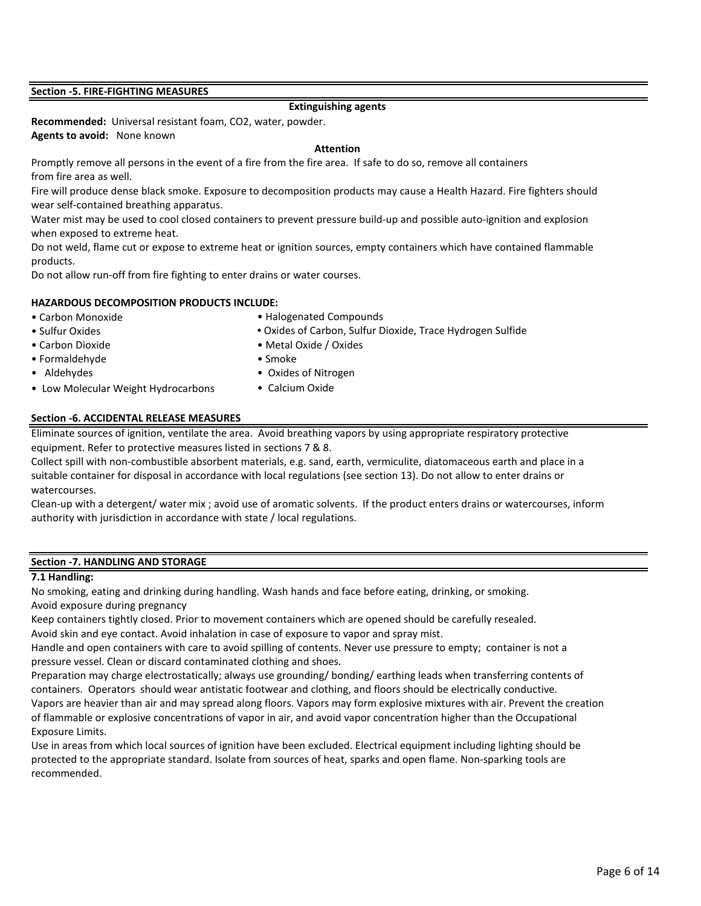#### **Section -5. FIRE-FIGHTING MEASURES**

#### **Extinguishing agents**

**Recommended:** Universal resistant foam, CO2, water, powder. **Agents to avoid:** None known

#### **Attention**

from fire area as well. Promptly remove all persons in the event of a fire from the fire area. If safe to do so, remove all containers

Fire will produce dense black smoke. Exposure to decomposition products may cause a Health Hazard. Fire fighters should wear self-contained breathing apparatus.

Water mist may be used to cool closed containers to prevent pressure build-up and possible auto-ignition and explosion when exposed to extreme heat.

Do not weld, flame cut or expose to extreme heat or ignition sources, empty containers which have contained flammable products.

Do not allow run-off from fire fighting to enter drains or water courses.

#### **HAZARDOUS DECOMPOSITION PRODUCTS INCLUDE:**

• Carbon Monoxide

• Halogenated Compounds

- Sulfur Oxides
- Carbon Dioxide Metal Oxide / Oxides • Oxides of Carbon, Sulfur Dioxide, Trace Hydrogen Sulfide
- Formaldehyde Smoke
- 
- 
- Aldehydes Cxides of Nitrogen
	- Calcium Oxide

#### **Section -6. ACCIDENTAL RELEASE MEASURES**

• Low Molecular Weight Hydrocarbons

Eliminate sources of ignition, ventilate the area. Avoid breathing vapors by using appropriate respiratory protective equipment. Refer to protective measures listed in sections 7 & 8.

Collect spill with non-combustible absorbent materials, e.g. sand, earth, vermiculite, diatomaceous earth and place in a suitable container for disposal in accordance with local regulations (see section 13). Do not allow to enter drains or watercourses.

Clean-up with a detergent/ water mix ; avoid use of aromatic solvents. If the product enters drains or watercourses, inform authority with jurisdiction in accordance with state / local regulations.

#### **Section -7. HANDLING AND STORAGE**

#### **7.1 Handling:**

No smoking, eating and drinking during handling. Wash hands and face before eating, drinking, or smoking. Avoid exposure during pregnancy

Keep containers tightly closed. Prior to movement containers which are opened should be carefully resealed. Avoid skin and eye contact. Avoid inhalation in case of exposure to vapor and spray mist.

Handle and open containers with care to avoid spilling of contents. Never use pressure to empty; container is not a pressure vessel. Clean or discard contaminated clothing and shoes.

Preparation may charge electrostatically; always use grounding/ bonding/ earthing leads when transferring contents of containers. Operators should wear antistatic footwear and clothing, and floors should be electrically conductive. Vapors are heavier than air and may spread along floors. Vapors may form explosive mixtures with air. Prevent the creation of flammable or explosive concentrations of vapor in air, and avoid vapor concentration higher than the Occupational Exposure Limits.

Use in areas from which local sources of ignition have been excluded. Electrical equipment including lighting should be protected to the appropriate standard. Isolate from sources of heat, sparks and open flame. Non-sparking tools are recommended.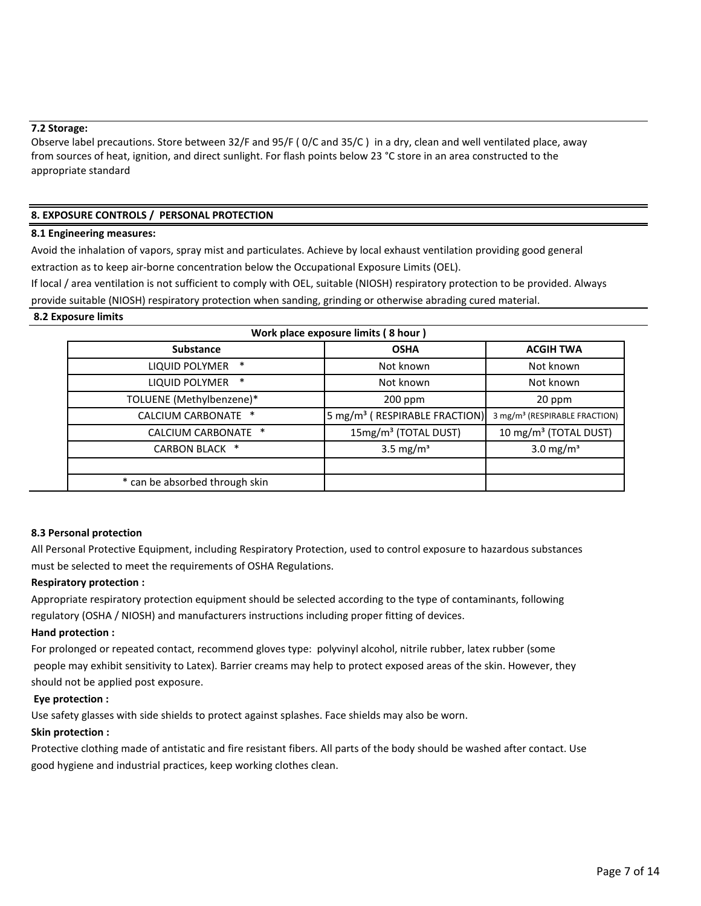#### **7.2 Storage:**

Observe label precautions. Store between 32/F and 95/F ( 0/C and 35/C ) in a dry, clean and well ventilated place, away from sources of heat, ignition, and direct sunlight. For flash points below 23 °C store in an area constructed to the appropriate standard

#### **8. EXPOSURE CONTROLS / PERSONAL PROTECTION**

#### **8.1 Engineering measures:**

Avoid the inhalation of vapors, spray mist and particulates. Achieve by local exhaust ventilation providing good general extraction as to keep air-borne concentration below the Occupational Exposure Limits (OEL).

If local / area ventilation is not sufficient to comply with OEL, suitable (NIOSH) respiratory protection to be provided. Always provide suitable (NIOSH) respiratory protection when sanding, grinding or otherwise abrading cured material.

#### **8.2 Exposure limits**

| Work place exposure limits (8 hour) |                                           |                                           |  |  |  |
|-------------------------------------|-------------------------------------------|-------------------------------------------|--|--|--|
| <b>Substance</b>                    | <b>OSHA</b>                               | <b>ACGIH TWA</b>                          |  |  |  |
| <b>LIQUID POLYMER</b><br>∗          | Not known                                 | Not known                                 |  |  |  |
| <b>LIQUID POLYMER</b><br>∗          | Not known                                 | Not known                                 |  |  |  |
| TOLUENE (Methylbenzene)*            | $200$ ppm                                 | 20 ppm                                    |  |  |  |
| CALCIUM CARBONATE *                 | 5 mg/m <sup>3</sup> (RESPIRABLE FRACTION) | 3 mg/m <sup>3</sup> (RESPIRABLE FRACTION) |  |  |  |
| CALCIUM CARBONATE *                 | 15mg/m <sup>3</sup> (TOTAL DUST)          | 10 mg/m <sup>3</sup> (TOTAL DUST)         |  |  |  |
| <b>CARBON BLACK *</b>               | 3.5 mg/ $m3$                              | 3.0 mg/ $m3$                              |  |  |  |
|                                     |                                           |                                           |  |  |  |
| * can be absorbed through skin      |                                           |                                           |  |  |  |

#### **8.3 Personal protection**

All Personal Protective Equipment, including Respiratory Protection, used to control exposure to hazardous substances must be selected to meet the requirements of OSHA Regulations.

#### **Respiratory protection :**

Appropriate respiratory protection equipment should be selected according to the type of contaminants, following regulatory (OSHA / NIOSH) and manufacturers instructions including proper fitting of devices.

#### **Hand protection :**

For prolonged or repeated contact, recommend gloves type: polyvinyl alcohol, nitrile rubber, latex rubber (some people may exhibit sensitivity to Latex). Barrier creams may help to protect exposed areas of the skin. However, they should not be applied post exposure.

#### **Eye protection :**

Use safety glasses with side shields to protect against splashes. Face shields may also be worn.

#### **Skin protection :**

Protective clothing made of antistatic and fire resistant fibers. All parts of the body should be washed after contact. Use good hygiene and industrial practices, keep working clothes clean.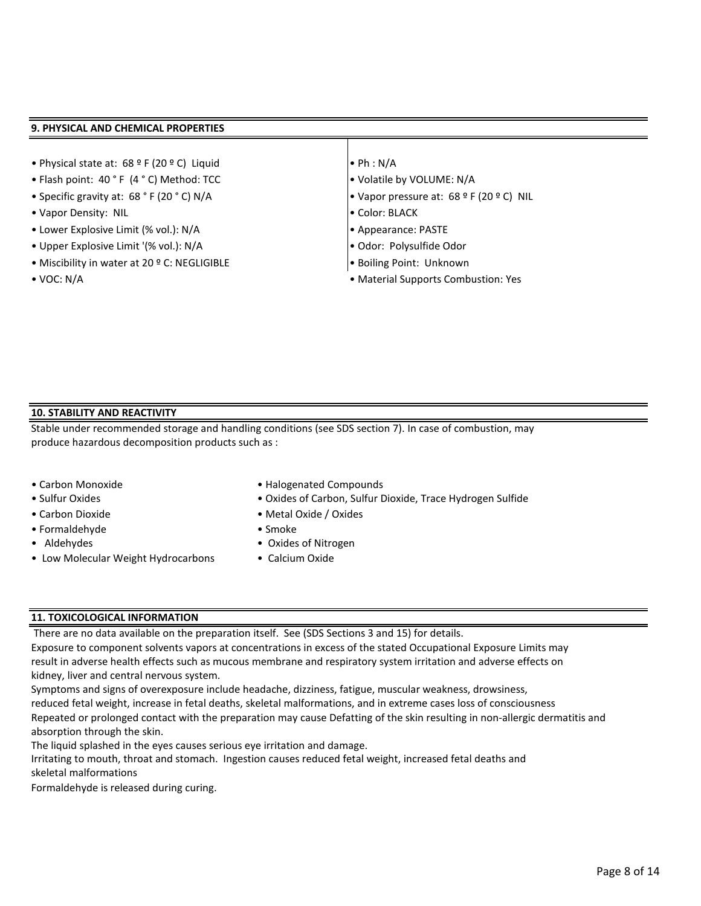#### **9. PHYSICAL AND CHEMICAL PROPERTIES**

- Physical state at: 68 º F (20 º C) Liquid Ph : N/A
- Flash point: 40 ° F (4 ° C) Method: TCC  $\bullet$  Volatile by VOLUME: N/A
- 
- Vapor Density: NIL Color: BLACK
- Lower Explosive Limit (% vol.): N/A Appearance: PASTE
- Upper Explosive Limit '(% vol.): N/A Odor: Polysulfide Odor
- Miscibility in water at 20 º C: NEGLIGIBLE Boiling Point: Unknown
- 
- 
- 
- Specific gravity at: 68 ° F (20 ° C) N/A Vapor pressure at: 68 º F (20 º C) NIL
	-
	-
	-
	-
- VOC: N/A Material Supports Combustion: Yes

#### **10. STABILITY AND REACTIVITY**

Stable under recommended storage and handling conditions (see SDS section 7). In case of combustion, may produce hazardous decomposition products such as :

- 
- 
- 
- Formaldehyde Smoke
- 
- Low Molecular Weight Hydrocarbons
- Carbon Monoxide **Halogenated Compounds**
- Sulfur Oxides Oxides of Carbon, Sulfur Dioxide, Trace Hydrogen Sulfide
- Carbon Dioxide Metal Oxide / Oxides
	-
- Aldehydes Cxides of Nitrogen
	- Calcium Oxide

#### **11. TOXICOLOGICAL INFORMATION**

There are no data available on the preparation itself. See (SDS Sections 3 and 15) for details.

Exposure to component solvents vapors at concentrations in excess of the stated Occupational Exposure Limits may result in adverse health effects such as mucous membrane and respiratory system irritation and adverse effects on kidney, liver and central nervous system.

Symptoms and signs of overexposure include headache, dizziness, fatigue, muscular weakness, drowsiness, Repeated or prolonged contact with the preparation may cause Defatting of the skin resulting in non-allergic dermatitis and absorption through the skin. reduced fetal weight, increase in fetal deaths, skeletal malformations, and in extreme cases loss of consciousness

The liquid splashed in the eyes causes serious eye irritation and damage.

Irritating to mouth, throat and stomach. Ingestion causes reduced fetal weight, increased fetal deaths and skeletal malformations

Formaldehyde is released during curing.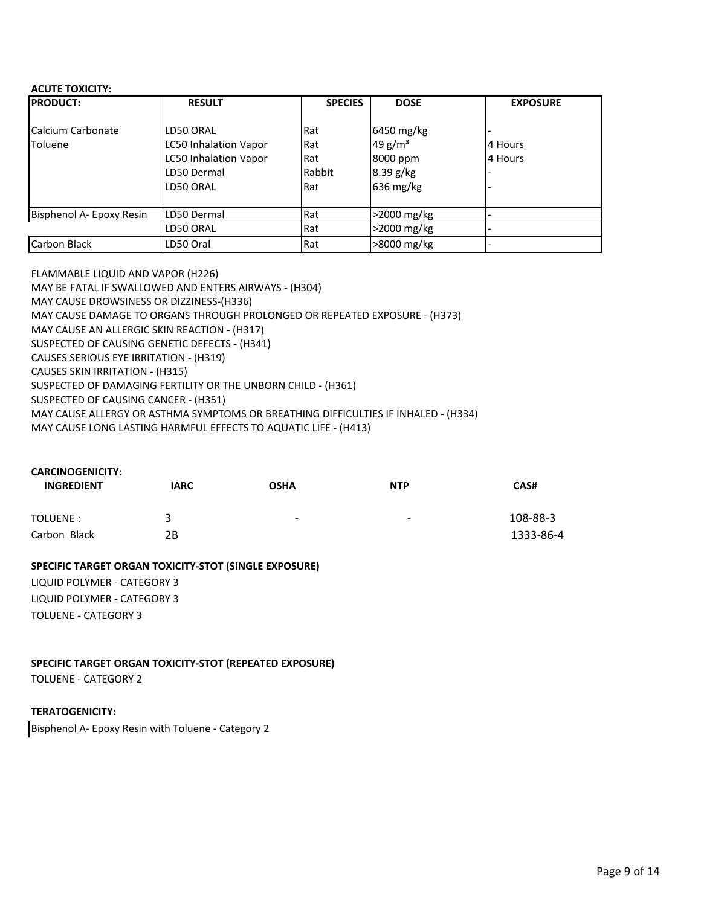#### **ACUTE TOXICITY:**

| <b>PRODUCT:</b>              | <b>RESULT</b>                                                                                         | <b>SPECIES</b>                     | <b>DOSE</b>                                                      | <b>EXPOSURE</b>    |
|------------------------------|-------------------------------------------------------------------------------------------------------|------------------------------------|------------------------------------------------------------------|--------------------|
| Calcium Carbonate<br>Toluene | LD50 ORAL<br><b>LC50 Inhalation Vapor</b><br><b>LC50 Inhalation Vapor</b><br>LD50 Dermal<br>LD50 ORAL | Rat<br>Rat<br>Rat<br>Rabbit<br>Rat | 6450 mg/kg<br>49 $g/m^3$<br>8000 ppm<br>$8.39$ g/kg<br>636 mg/kg | 4 Hours<br>4 Hours |
| Bisphenol A- Epoxy Resin     | LD50 Dermal                                                                                           | Rat                                | >2000 mg/kg                                                      |                    |
|                              | LD50 ORAL                                                                                             | Rat                                | >2000 mg/kg                                                      |                    |
| Carbon Black                 | LD50 Oral                                                                                             | Rat                                | >8000 mg/kg                                                      |                    |

FLAMMABLE LIQUID AND VAPOR (H226) MAY BE FATAL IF SWALLOWED AND ENTERS AIRWAYS - (H304) MAY CAUSE DROWSINESS OR DIZZINESS-(H336) MAY CAUSE DAMAGE TO ORGANS THROUGH PROLONGED OR REPEATED EXPOSURE - (H373) MAY CAUSE AN ALLERGIC SKIN REACTION - (H317) SUSPECTED OF CAUSING GENETIC DEFECTS - (H341) CAUSES SERIOUS EYE IRRITATION - (H319) CAUSES SKIN IRRITATION - (H315) SUSPECTED OF DAMAGING FERTILITY OR THE UNBORN CHILD - (H361) SUSPECTED OF CAUSING CANCER - (H351) MAY CAUSE ALLERGY OR ASTHMA SYMPTOMS OR BREATHING DIFFICULTIES IF INHALED - (H334) MAY CAUSE LONG LASTING HARMFUL EFFECTS TO AQUATIC LIFE - (H413)

| <b>CARCINOGENICITY:</b><br><b>INGREDIENT</b> | <b>IARC</b> | <b>OSHA</b>              | <b>NTP</b>               | CAS#      |
|----------------------------------------------|-------------|--------------------------|--------------------------|-----------|
| TOLUENE:                                     | 2           | $\overline{\phantom{0}}$ | $\overline{\phantom{a}}$ | 108-88-3  |
| Carbon Black                                 | 2B          |                          |                          | 1333-86-4 |

#### **SPECIFIC TARGET ORGAN TOXICITY-STOT (SINGLE EXPOSURE)**

LIQUID POLYMER - CATEGORY 3 LIQUID POLYMER - CATEGORY 3 TOLUENE - CATEGORY 3

### **SPECIFIC TARGET ORGAN TOXICITY-STOT (REPEATED EXPOSURE)**

TOLUENE - CATEGORY 2

#### **TERATOGENICITY:**

Bisphenol A- Epoxy Resin with Toluene - Category 2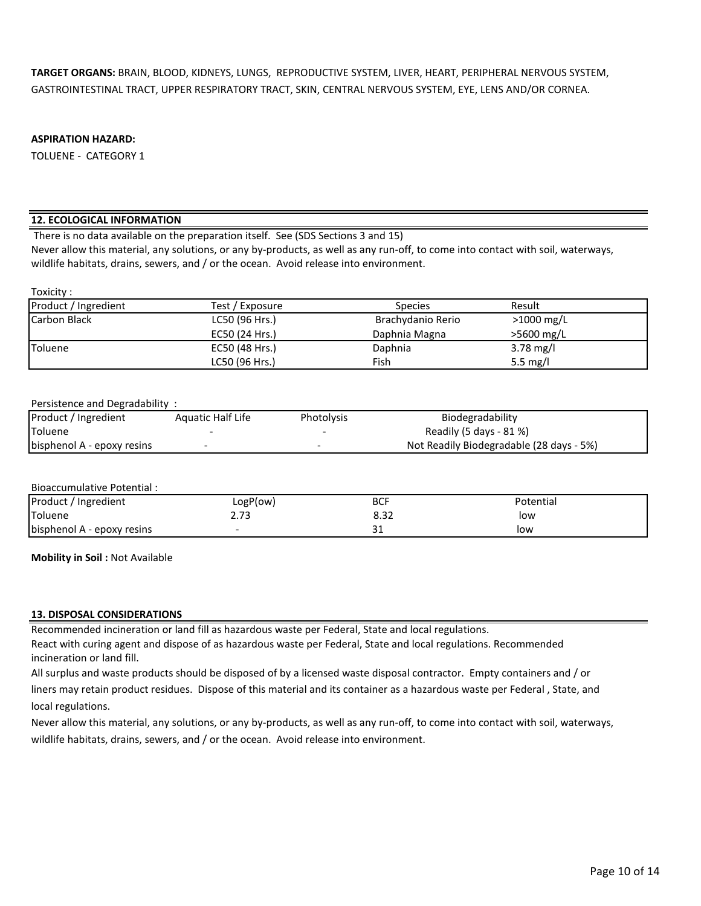**TARGET ORGANS:** BRAIN, BLOOD, KIDNEYS, LUNGS, REPRODUCTIVE SYSTEM, LIVER, HEART, PERIPHERAL NERVOUS SYSTEM, GASTROINTESTINAL TRACT, UPPER RESPIRATORY TRACT, SKIN, CENTRAL NERVOUS SYSTEM, EYE, LENS AND/OR CORNEA.

#### **ASPIRATION HAZARD:**

TOLUENE - CATEGORY 1

#### **12. ECOLOGICAL INFORMATION**

There is no data available on the preparation itself. See (SDS Sections 3 and 15)

Never allow this material, any solutions, or any by-products, as well as any run-off, to come into contact with soil, waterways, wildlife habitats, drains, sewers, and / or the ocean. Avoid release into environment.

#### Toxicity :

| Product / Ingredient | Test / Exposure | <b>Species</b>    | Result       |  |
|----------------------|-----------------|-------------------|--------------|--|
| Carbon Black         | LC50 (96 Hrs.)  | Brachydanio Rerio | $>1000$ mg/L |  |
|                      | EC50 (24 Hrs.)  | Daphnia Magna     | $>5600$ mg/L |  |
| Toluene              | EC50 (48 Hrs.)  | Daphnia           | 3.78 mg/l    |  |
|                      | LC50 (96 Hrs.)  | Fish              | 5.5 mg/l     |  |

#### Persistence and Degradability :

| Product / Ingredient       | Aquatic Half Life | Photolysis | Biodegradability                         |
|----------------------------|-------------------|------------|------------------------------------------|
| Toluene                    |                   |            | Readily (5 days - 81 %)                  |
| bisphenol A - epoxy resins |                   |            | Not Readily Biodegradable (28 days - 5%) |

#### Bioaccumulative Potential :

| Product / Ingredient       | LogP(ow)             | <b>BCF</b>    | Potential |  |
|----------------------------|----------------------|---------------|-----------|--|
| Toluene                    | <u>ຳລ</u><br>د ، ، ۷ | ົ່າ -<br>0.JZ | low       |  |
| bisphenol A - epoxy resins |                      | ັ             | low       |  |

**Mobility in Soil :** Not Available

#### **13. DISPOSAL CONSIDERATIONS**

Recommended incineration or land fill as hazardous waste per Federal, State and local regulations.

React with curing agent and dispose of as hazardous waste per Federal, State and local regulations. Recommended incineration or land fill.

All surplus and waste products should be disposed of by a licensed waste disposal contractor. Empty containers and / or

liners may retain product residues. Dispose of this material and its container as a hazardous waste per Federal , State, and local regulations.

Never allow this material, any solutions, or any by-products, as well as any run-off, to come into contact with soil, waterways,

wildlife habitats, drains, sewers, and / or the ocean. Avoid release into environment.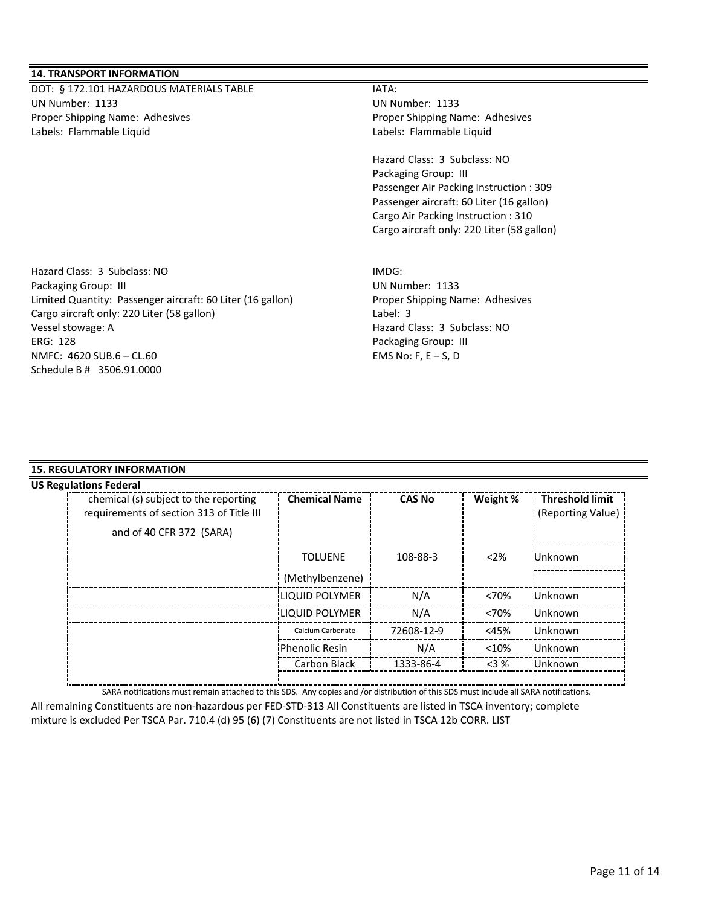#### **14. TRANSPORT INFORMATION**

DOT: § 172.101 HAZARDOUS MATERIALS TABLE **INTERIALS** TABLE UN Number: 1133 UN Number: 1133 Proper Shipping Name: Adhesives **Proper Shipping Name: Adhesives** Proper Shipping Name: Adhesives Labels: Flammable Liquid Labels: Flammable Liquid

Hazard Class: 3 Subclass: NO Packaging Group: III Passenger Air Packing Instruction : 309 Passenger aircraft: 60 Liter (16 gallon) Cargo Air Packing Instruction : 310 Cargo aircraft only: 220 Liter (58 gallon)

Hazard Class: 3 Subclass: NO IMDG: Packaging Group: III and the contract of the contract of the UN Number: 1133 Limited Quantity: Passenger aircraft: 60 Liter (16 gallon) Proper Shipping Name: Adhesives Cargo aircraft only: 220 Liter (58 gallon) Label: 3 Vessel stowage: A Hazard Class: 3 Subclass: NO ERG: 128 Packaging Group: III NMFC: 4620 SUB.6 – CL.60 EMS No: F, E – S, D Schedule B # 3506.91.0000

#### **15. REGULATORY INFORMATION**

| chemical (s) subject to the reporting    | <b>Chemical Name</b>  | <b>CAS No</b> | Weight % | <b>Threshold limit</b> |
|------------------------------------------|-----------------------|---------------|----------|------------------------|
| requirements of section 313 of Title III |                       |               |          | (Reporting Value)      |
| and of 40 CFR 372 (SARA)                 |                       |               |          |                        |
|                                          | <b>TOLUENE</b>        | 108-88-3      | $<$ 2%   | <b>Unknown</b>         |
|                                          | (Methylbenzene)       |               |          |                        |
|                                          | <b>LIQUID POLYMER</b> | N/A           | <70%     | Unknown                |
|                                          | <b>LIQUID POLYMER</b> | N/A           | <70%     | Unknown                |
|                                          | Calcium Carbonate     | 72608-12-9    | $<$ 45%  | Unknown                |
|                                          | <b>Phenolic Resin</b> | N/A           | < 10%    | Unknown                |
|                                          | Carbon Black          | 1333-86-4     | $<$ 3 %  | <b>Unknown</b>         |

SARA notifications must remain attached to this SDS. Any copies and /or distribution of this SDS must include all SARA notifications.

All remaining Constituents are non-hazardous per FED-STD-313 All Constituents are listed in TSCA inventory; complete mixture is excluded Per TSCA Par. 710.4 (d) 95 (6) (7) Constituents are not listed in TSCA 12b CORR. LIST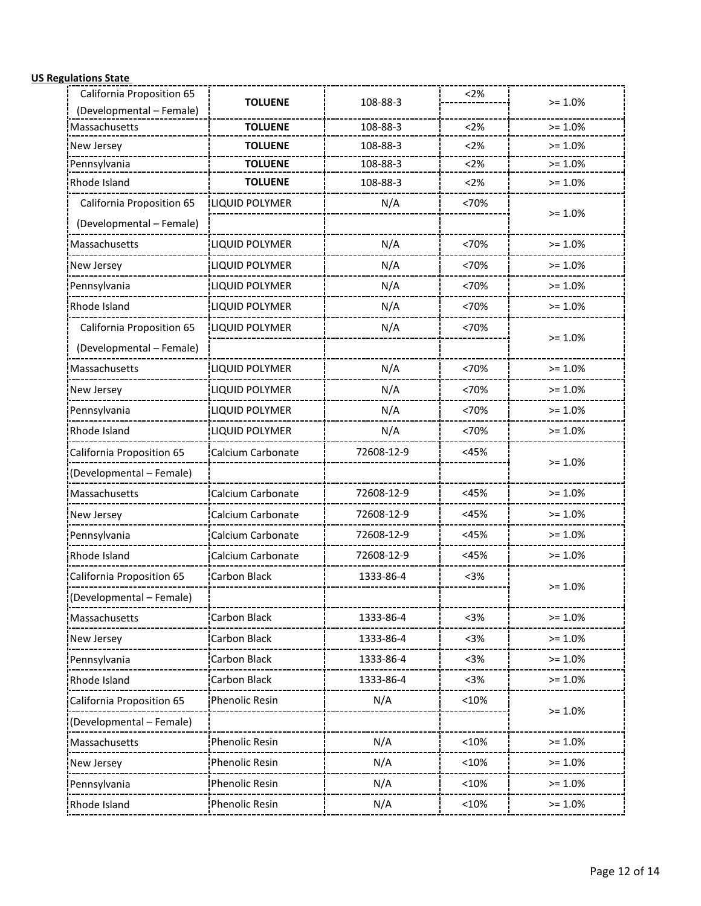# **US Regulations State**

| California Proposition 65 | <b>TOLUENE</b>        | 108-88-3   | 2%      | $>= 1.0%$ |
|---------------------------|-----------------------|------------|---------|-----------|
| (Developmental - Female)  |                       |            |         |           |
| Massachusetts             | <b>TOLUENE</b>        | 108-88-3   | <2%     | $>= 1.0%$ |
| New Jersey                | <b>TOLUENE</b>        | 108-88-3   | < 2%    | $>= 1.0%$ |
| Pennsylvania              | <b>TOLUENE</b>        | 108-88-3   | <2%     | $>= 1.0%$ |
| Rhode Island              | <b>TOLUENE</b>        | 108-88-3   | <2%     | $>= 1.0%$ |
| California Proposition 65 | LIQUID POLYMER        | N/A        | <70%    | $>= 1.0%$ |
| (Developmental - Female)  |                       |            |         |           |
| Massachusetts             | LIQUID POLYMER        | N/A        | <70%    | $>= 1.0%$ |
| New Jersey                | LIQUID POLYMER        | N/A        | <70%    | $>= 1.0%$ |
| Pennsylvania              | LIQUID POLYMER        | N/A        | <70%    | $>= 1.0%$ |
| Rhode Island              | LIQUID POLYMER        | N/A        | <70%    | $>= 1.0%$ |
| California Proposition 65 | LIQUID POLYMER        | N/A        | <70%    | $>= 1.0%$ |
| (Developmental - Female)  |                       |            |         |           |
| Massachusetts             | <b>LIQUID POLYMER</b> | N/A        | <70%    | $>= 1.0%$ |
| New Jersey                | LIQUID POLYMER        | N/A        | <70%    | $>= 1.0%$ |
| Pennsylvania              | LIQUID POLYMER        | N/A        | <70%    | $>= 1.0%$ |
| Rhode Island              | LIQUID POLYMER        | N/A        | <70%    | $>= 1.0%$ |
| California Proposition 65 | Calcium Carbonate     | 72608-12-9 | <45%    | $>= 1.0%$ |
| (Developmental - Female)  |                       |            |         |           |
| Massachusetts             | Calcium Carbonate     | 72608-12-9 | <45%    | $>= 1.0%$ |
| New Jersey                | Calcium Carbonate     | 72608-12-9 | <45%    | $>= 1.0%$ |
| Pennsylvania              | Calcium Carbonate     | 72608-12-9 | <45%    | $>= 1.0%$ |
| Rhode Island              | Calcium Carbonate     | 72608-12-9 | $<$ 45% | $>= 1.0%$ |
| California Proposition 65 | <b>Carbon Black</b>   | 1333-86-4  | < 3%    | $>= 1.0%$ |
| Developmental - Female)   |                       |            |         |           |
| Massachusetts             | Carbon Black          | 1333-86-4  | $3%$    | $>= 1.0%$ |
| New Jersey                | Carbon Black          | 1333-86-4  | $3%$    | $>= 1.0%$ |
| Pennsylvania              | Carbon Black          | 1333-86-4  | $3%$    | $>= 1.0%$ |
| Rhode Island              | Carbon Black          | 1333-86-4  | $3%$    | $>= 1.0%$ |
| California Proposition 65 | Phenolic Resin        | N/A        | <10%    | $>= 1.0%$ |
| (Developmental - Female)  |                       |            |         |           |
| Massachusetts             | Phenolic Resin        | N/A        | <10%    | $>= 1.0%$ |
| New Jersey                | Phenolic Resin        | N/A        | <10%    | $>= 1.0%$ |
| Pennsylvania              | Phenolic Resin        | N/A        | <10%    | $>= 1.0%$ |
| Rhode Island              | Phenolic Resin        | N/A        | <10%    | $>= 1.0%$ |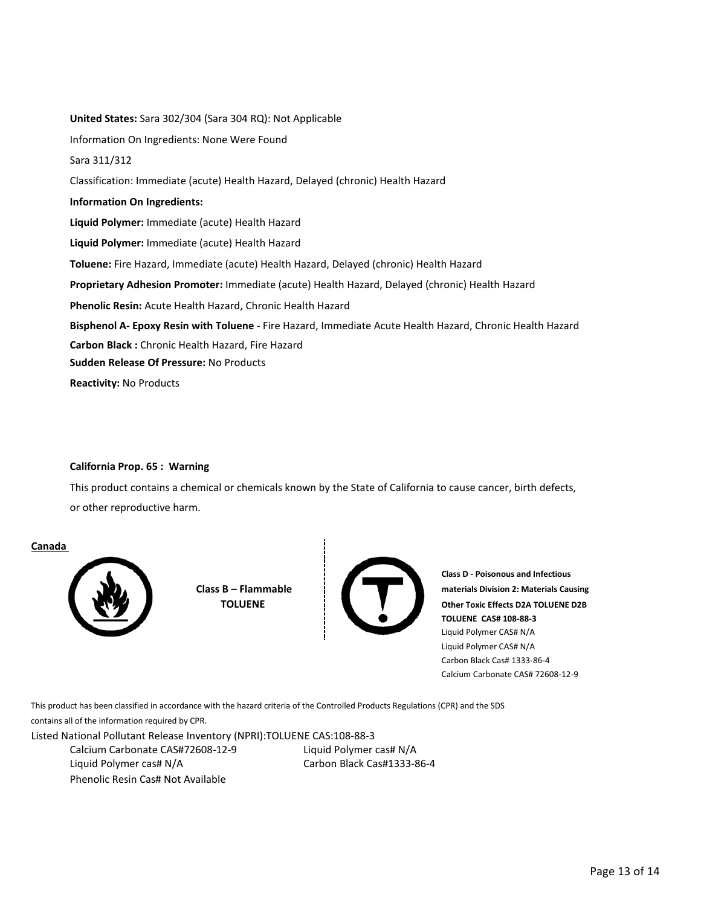**Phenolic Resin:** Acute Health Hazard, Chronic Health Hazard **Carbon Black :** Chronic Health Hazard, Fire Hazard **Liquid Polymer:** Immediate (acute) Health Hazard **Toluene:** Fire Hazard, Immediate (acute) Health Hazard, Delayed (chronic) Health Hazard Sara 311/312 Classification: Immediate (acute) Health Hazard, Delayed (chronic) Health Hazard **Information On Ingredients: Sudden Release Of Pressure:** No Products **Reactivity:** No Products Information On Ingredients: None Were Found **United States:** Sara 302/304 (Sara 304 RQ): Not Applicable **Liquid Polymer:** Immediate (acute) Health Hazard **Proprietary Adhesion Promoter:** Immediate (acute) Health Hazard, Delayed (chronic) Health Hazard **Bisphenol A- Epoxy Resin with Toluene** - Fire Hazard, Immediate Acute Health Hazard, Chronic Health Hazard

#### **California Prop. 65 : Warning**

This product contains a chemical or chemicals known by the State of California to cause cancer, birth defects, or other reproductive harm.

#### **Canada**



**Class B – Flammable TOLUENE** 



**Class D - Poisonous and Infectious materials Division 2: Materials Causing Other Toxic Effects D2A TOLUENE D2B TOLUENE CAS# 108-88-3** Liquid Polymer CAS# N/A Liquid Polymer CAS# N/A Carbon Black Cas# 1333-86-4 Calcium Carbonate CAS# 72608-12-9

This product has been classified in accordance with the hazard criteria of the Controlled Products Regulations (CPR) and the SDS

contains all of the information required by CPR.

Listed National Pollutant Release Inventory (NPRI):TOLUENE CAS:108-88-3

Liquid Polymer cas# N/A Phenolic Resin Cas# Not Available Calcium Carbonate CAS#72608-12-9 Carbon Black Cas#1333-86-4 Liquid Polymer cas# N/A